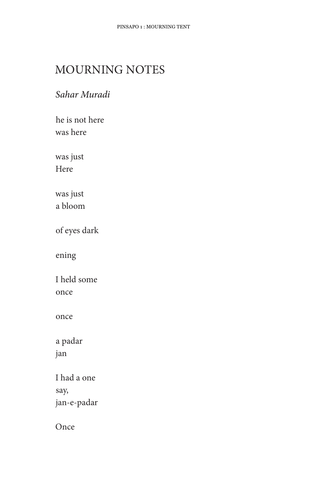## MOURNING NOTES

## Sahar Muradi

he is not here was here

was just Here

was just a bloom

of eyes dark

ening

I held some once

once

a padar jan

I had a one say, jan-e-padar

Once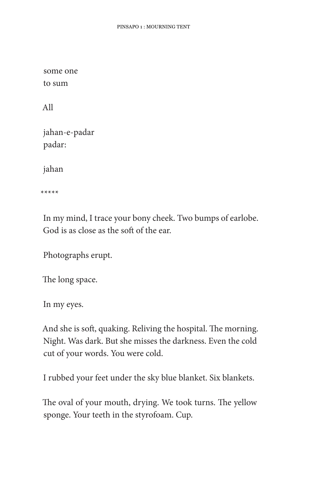some one to sum

All

jahan-e-padar padar:

jahan

 $*****$ 

In my mind, I trace your bony cheek. Two bumps of earlobe. God is as close as the soft of the ear.

Photographs erupt.

The long space.

In my eyes.

And she is soft, quaking. Reliving the hospital. The morning. Night. Was dark. But she misses the darkness. Even the cold cut of your words. You were cold.

I rubbed your feet under the sky blue blanket. Six blankets.

The oval of your mouth, drying. We took turns. The yellow sponge. Your teeth in the styrofoam. Cup.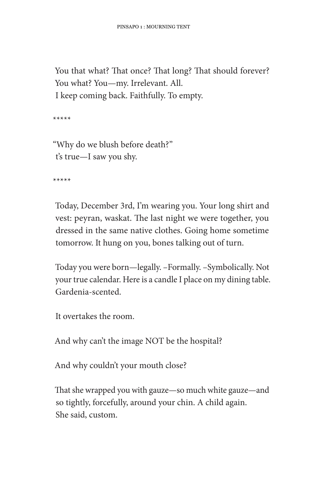You that what? That once? That long? That should forever? You what? You-my. Irrelevant. All. I keep coming back. Faithfully. To empty.

 $*****$ 

"Why do we blush before death?" t's true-I saw you shy.

 $*****$ 

Today, December 3rd, I'm wearing you. Your long shirt and vest: peyran, waskat. The last night we were together, you dressed in the same native clothes. Going home sometime tomorrow. It hung on you, bones talking out of turn.

Today you were born—legally. -Formally. -Symbolically. Not your true calendar. Here is a candle I place on my dining table. Gardenia-scented.

It overtakes the room.

And why can't the image NOT be the hospital?

And why couldn't your mouth close?

That she wrapped you with gauze—so much white gauze—and so tightly, forcefully, around your chin. A child again. She said, custom.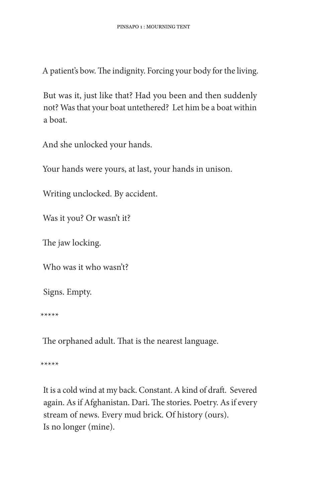A patient's bow. The indignity. Forcing your body for the living.

But was it, just like that? Had you been and then suddenly not? Was that your boat untethered? Let him be a boat within a boat.

And she unlocked your hands.

Your hands were yours, at last, your hands in unison.

Writing unclocked. By accident.

Was it you? Or wasn't it?

The jaw locking.

Who was it who wasn't?

Signs. Empty.

 $****$ 

The orphaned adult. That is the nearest language.

\*\*\*\*\*

It is a cold wind at my back. Constant. A kind of draft. Severed again. As if Afghanistan. Dari. The stories. Poetry. As if every stream of news. Every mud brick. Of history (ours). Is no longer (mine).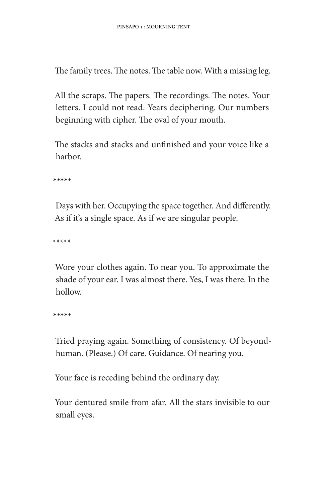The family trees. The notes. The table now. With a missing leg.

All the scraps. The papers. The recordings. The notes. Your letters. I could not read. Years deciphering. Our numbers beginning with cipher. The oval of your mouth.

The stacks and stacks and unfinished and your voice like a harbor.

 $*****$ 

Days with her. Occupying the space together. And differently. As if it's a single space. As if we are singular people.

 $*****$ 

Wore your clothes again. To near you. To approximate the shade of your ear. I was almost there. Yes, I was there. In the hollow.

 $*****$ 

Tried praying again. Something of consistency. Of beyondhuman. (Please.) Of care. Guidance. Of nearing you.

Your face is receding behind the ordinary day.

Your dentured smile from afar. All the stars invisible to our small eyes.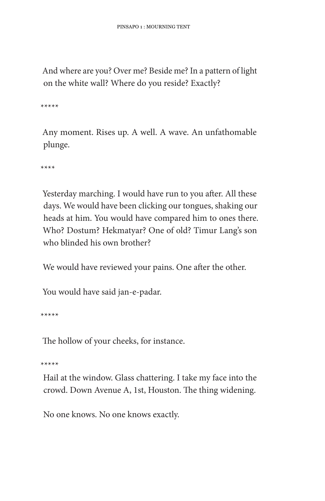And where are you? Over me? Beside me? In a pattern of light on the white wall? Where do you reside? Exactly?

\*\*\*\*\*

Any moment. Rises up. A well. A wave. An unfathomable plunge.

 $***$ 

Yesterday marching. I would have run to you after. All these days. We would have been clicking our tongues, shaking our heads at him. You would have compared him to ones there. Who? Dostum? Hekmatyar? One of old? Timur Lang's son who blinded his own brother?

We would have reviewed your pains. One after the other.

You would have said jan-e-padar.

 $****$ 

The hollow of your cheeks, for instance.

\*\*\*\*\*

Hail at the window. Glass chattering. I take my face into the crowd. Down Avenue A, 1st, Houston. The thing widening.

No one knows. No one knows exactly.